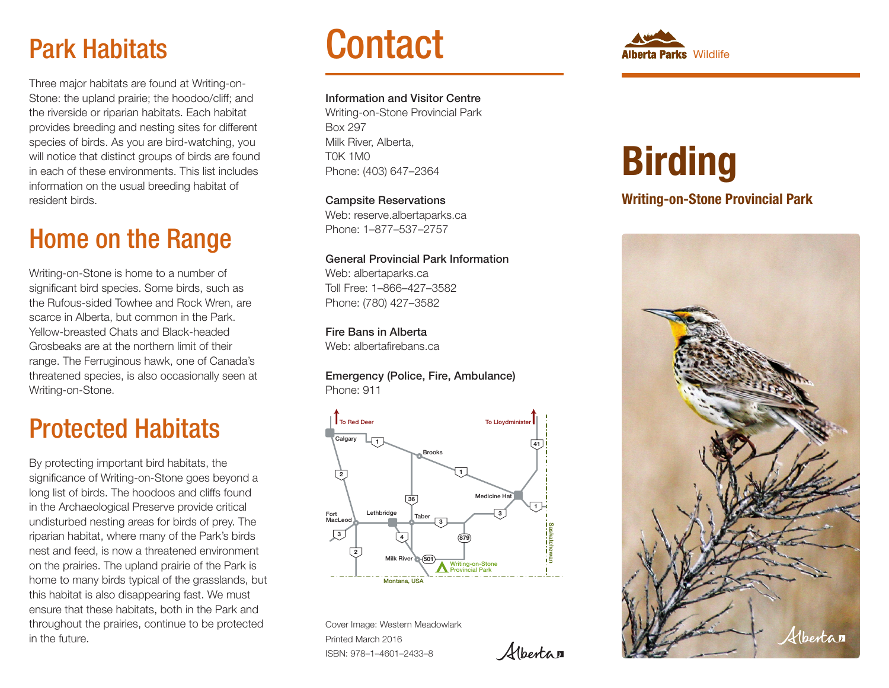# Park Habitats

Three major habitats are found at Writing-on-Stone: the upland prairie; the hoodoo/cliff; and the riverside or riparian habitats. Each habitat provides breeding and nesting sites for different species of birds. As you are bird-watching, you will notice that distinct groups of birds are found in each of these environments. This list includes information on the usual breeding habitat of resident birds.

# Home on the Range

Writing-on-Stone is home to a number of significant bird species. Some birds, such as the Rufous-sided Towhee and Rock Wren, are scarce in Alberta, but common in the Park. Yellow-breasted Chats and Black-headed Grosbeaks are at the northern limit of their range. The Ferruginous hawk, one of Canada's threatened species, is also occasionally seen at Writing-on-Stone.

# Protected Habitats

By protecting important bird habitats, the significance of Writing-on-Stone goes beyond a long list of birds. The hoodoos and cliffs found in the Archaeological Preserve provide critical undisturbed nesting areas for birds of prey. The riparian habitat, where many of the Park's birds nest and feed, is now a threatened environment on the prairies. The upland prairie of the Park is home to many birds typical of the grasslands, but this habitat is also disappearing fast. We must ensure that these habitats, both in the Park and throughout the prairies, continue to be protected in the future.

# **Contact**

#### Information and Visitor Centre

Writing-on-Stone Provincial Park Box 297 Milk River, Alberta, T0K 1M0 Phone: (403) 647–2364

Campsite Reservations Web: reserve.albertaparks.ca Phone: 1–877–537–2757

#### General Provincial Park Information

Web: albertaparks.ca Toll Free: 1–866–427–3582 Phone: (780) 427–3582

Fire Bans in Alberta Web: albertafirebans.ca

Emergency (Police, Fire, Ambulance) Phone: 911



*Alberta* n

Cover Image: Western Meadowlark Printed March 2016 ISBN: 978–1–4601–2433–8



# **Birding**

# Writing-on-Stone Provincial Park